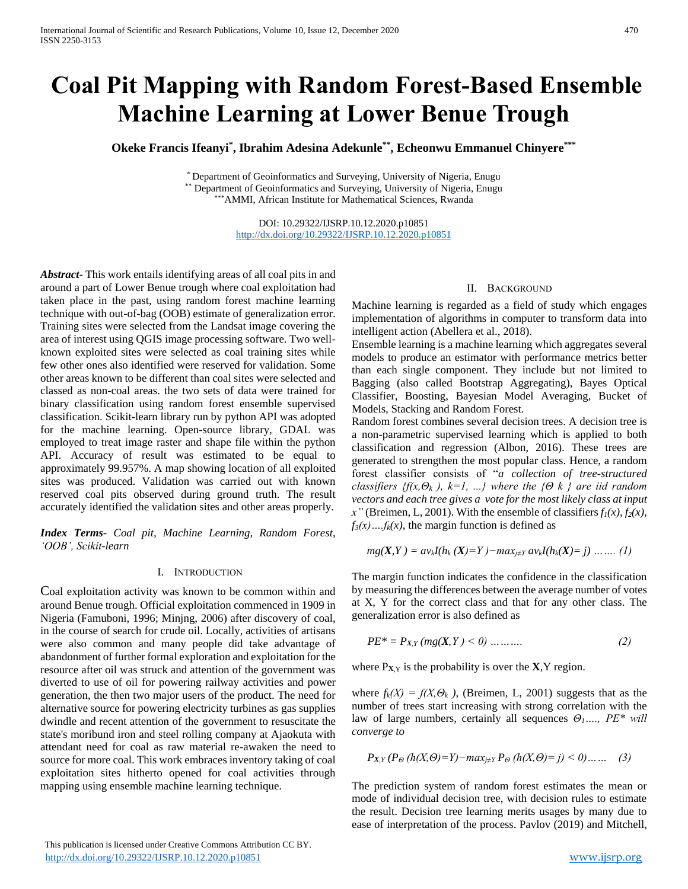# **Coal Pit Mapping with Random Forest-Based Ensemble Machine Learning at Lower Benue Trough**

**Okeke Francis Ifeanyi\* , Ibrahim Adesina Adekunle\*\*, Echeonwu Emmanuel Chinyere\*\*\***

\* Department of Geoinformatics and Surveying, University of Nigeria, Enugu \*\* Department of Geoinformatics and Surveying, University of Nigeria, Enugu \*AMMI, African Institute for Mathematical Sciences, Rwanda

> DOI: 10.29322/IJSRP.10.12.2020.p10851 <http://dx.doi.org/10.29322/IJSRP.10.12.2020.p10851>

*Abstract***-** This work entails identifying areas of all coal pits in and around a part of Lower Benue trough where coal exploitation had taken place in the past, using random forest machine learning technique with out-of-bag (OOB) estimate of generalization error. Training sites were selected from the Landsat image covering the area of interest using QGIS image processing software. Two wellknown exploited sites were selected as coal training sites while few other ones also identified were reserved for validation. Some other areas known to be different than coal sites were selected and classed as non-coal areas. the two sets of data were trained for binary classification using random forest ensemble supervised classification. Scikit-learn library run by python API was adopted for the machine learning. Open-source library, GDAL was employed to treat image raster and shape file within the python API. Accuracy of result was estimated to be equal to approximately 99.957%. A map showing location of all exploited sites was produced. Validation was carried out with known reserved coal pits observed during ground truth. The result accurately identified the validation sites and other areas properly.

*Index Terms*- *Coal pit, Machine Learning, Random Forest, 'OOB', Scikit-learn*

## I. INTRODUCTION

Coal exploitation activity was known to be common within and around Benue trough. Official exploitation commenced in 1909 in Nigeria (Famuboni, 1996; Minjng, 2006) after discovery of coal, in the course of search for crude oil. Locally, activities of artisans were also common and many people did take advantage of abandonment of further formal exploration and exploitation for the resource after oil was struck and attention of the government was diverted to use of oil for powering railway activities and power generation, the then two major users of the product. The need for alternative source for powering electricity turbines as gas supplies dwindle and recent attention of the government to resuscitate the state's moribund iron and steel rolling company at Ajaokuta with attendant need for coal as raw material re-awaken the need to source for more coal. This work embraces inventory taking of coal exploitation sites hitherto opened for coal activities through mapping using ensemble machine learning technique.

## II. BACKGROUND

Machine learning is regarded as a field of study which engages implementation of algorithms in computer to transform data into intelligent action (Abellera et al., 2018).

Ensemble learning is a machine learning which aggregates several models to produce an estimator with performance metrics better than each single component. They include but not limited to Bagging (also called Bootstrap Aggregating), Bayes Optical Classifier, Boosting, Bayesian Model Averaging, Bucket of Models, Stacking and Random Forest.

Random forest combines several decision trees. A decision tree is a non-parametric supervised learning which is applied to both classification and regression (Albon, 2016). These trees are generated to strengthen the most popular class. Hence, a random forest classifier consists of "*a collection of tree-structured classifiers {f(x,* $\Theta_k$ *), k=1, ...} where the {* $\Theta$  *k } are iid random vectors and each tree gives a vote for the most likely class at input x*" (Breimen, L, 2001). With the ensemble of classifiers  $f_1(x)$ ,  $f_2(x)$ ,  $f_3(x)$ ...*f<sub>k</sub>*(*x*), the margin function is defined as

$$
mg(X,Y) = av_kI(h_k(X)=Y) - max_{j\neq Y} av_kI(h_k(X)=j) \dots \dots (1)
$$

The margin function indicates the confidence in the classification by measuring the differences between the average number of votes at X, Y for the correct class and that for any other class. The generalization error is also defined as

$$
PE^* = P_{X,Y}(mg(X,Y) < 0) \dots \dots \dots \tag{2}
$$

where  $P_{X,Y}$  is the probability is over the  $X,Y$  region.

where  $f_k(X) = f(X, \Theta_k)$ , (Breimen, L, 2001) suggests that as the number of trees start increasing with strong correlation with the law of large numbers, certainly all sequences *Θ1…., PE\* will converge to*

$$
P_{X,Y}(P_{\Theta}(h(X,\Theta)=Y)-\max_{j\neq Y}P_{\Theta}(h(X,\Theta)=j)<0)....(3)
$$

The prediction system of random forest estimates the mean or mode of individual decision tree, with decision rules to estimate the result. Decision tree learning merits usages by many due to ease of interpretation of the process. Pavlov (2019) and Mitchell,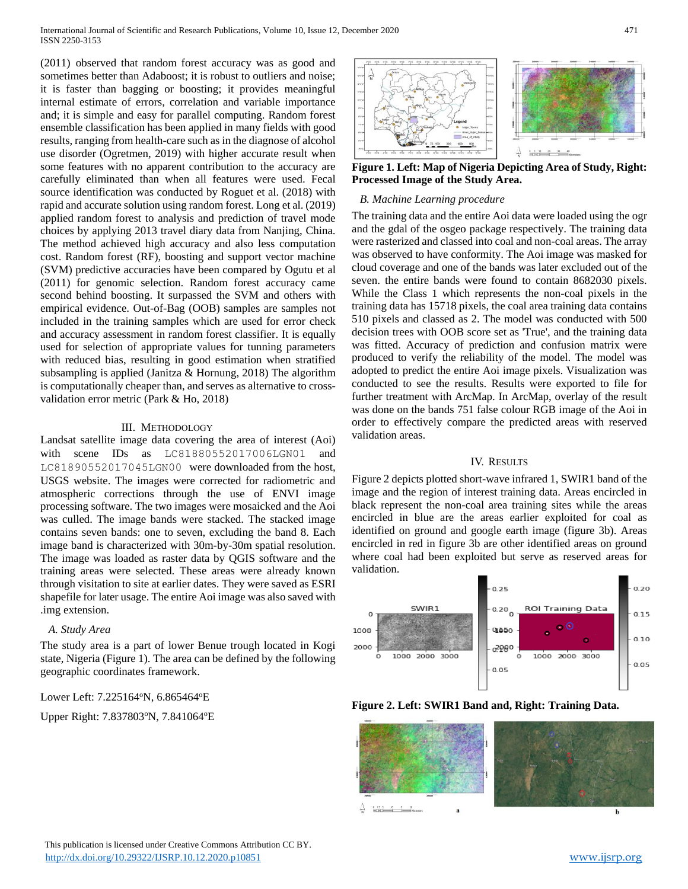International Journal of Scientific and Research Publications, Volume 10, Issue 12, December 2020 471 ISSN 2250-3153

(2011) observed that random forest accuracy was as good and sometimes better than Adaboost; it is robust to outliers and noise; it is faster than bagging or boosting; it provides meaningful internal estimate of errors, correlation and variable importance and; it is simple and easy for parallel computing. Random forest ensemble classification has been applied in many fields with good results, ranging from health-care such as in the diagnose of alcohol use disorder (Ogretmen, 2019) with higher accurate result when some features with no apparent contribution to the accuracy are carefully eliminated than when all features were used. Fecal source identification was conducted by Roguet et al. (2018) with rapid and accurate solution using random forest. Long et al. (2019) applied random forest to analysis and prediction of travel mode choices by applying 2013 travel diary data from Nanjing, China. The method achieved high accuracy and also less computation cost. Random forest (RF), boosting and support vector machine (SVM) predictive accuracies have been compared by Ogutu et al (2011) for genomic selection. Random forest accuracy came second behind boosting. It surpassed the SVM and others with empirical evidence. Out-of-Bag (OOB) samples are samples not included in the training samples which are used for error check and accuracy assessment in random forest classifier. It is equally used for selection of appropriate values for tunning parameters with reduced bias, resulting in good estimation when stratified subsampling is applied (Janitza & Hornung, 2018) The algorithm is computationally cheaper than, and serves as alternative to crossvalidation error metric (Park & Ho, 2018)

#### III. METHODOLOGY

Landsat satellite image data covering the area of interest (Aoi) with scene IDs as LC81880552017006LGN01 and LC81890552017045LGN00 were downloaded from the host, USGS website. The images were corrected for radiometric and atmospheric corrections through the use of ENVI image processing software. The two images were mosaicked and the Aoi was culled. The image bands were stacked. The stacked image contains seven bands: one to seven, excluding the band 8. Each image band is characterized with 30m-by-30m spatial resolution. The image was loaded as raster data by QGIS software and the training areas were selected. These areas were already known through visitation to site at earlier dates. They were saved as ESRI shapefile for later usage. The entire Aoi image was also saved with .img extension.

## *A. Study Area*

The study area is a part of lower Benue trough located in Kogi state, Nigeria (Figure 1). The area can be defined by the following geographic coordinates framework.

## Lower Left: 7.225164°N, 6.865464°E

Upper Right: 7.837803°N, 7.841064°E



**Figure 1. Left: Map of Nigeria Depicting Area of Study, Right: Processed Image of the Study Area.**

## *B. Machine Learning procedure*

The training data and the entire Aoi data were loaded using the ogr and the gdal of the osgeo package respectively. The training data were rasterized and classed into coal and non-coal areas. The array was observed to have conformity. The Aoi image was masked for cloud coverage and one of the bands was later excluded out of the seven. the entire bands were found to contain 8682030 pixels. While the Class 1 which represents the non-coal pixels in the training data has 15718 pixels, the coal area training data contains 510 pixels and classed as 2. The model was conducted with 500 decision trees with OOB score set as 'True', and the training data was fitted. Accuracy of prediction and confusion matrix were produced to verify the reliability of the model. The model was adopted to predict the entire Aoi image pixels. Visualization was conducted to see the results. Results were exported to file for further treatment with ArcMap. In ArcMap, overlay of the result was done on the bands 751 false colour RGB image of the Aoi in order to effectively compare the predicted areas with reserved validation areas.

## IV. RESULTS

Figure 2 depicts plotted short-wave infrared 1, SWIR1 band of the image and the region of interest training data. Areas encircled in black represent the non-coal area training sites while the areas encircled in blue are the areas earlier exploited for coal as identified on ground and google earth image (figure 3b). Areas encircled in red in figure 3b are other identified areas on ground where coal had been exploited but serve as reserved areas for validation.





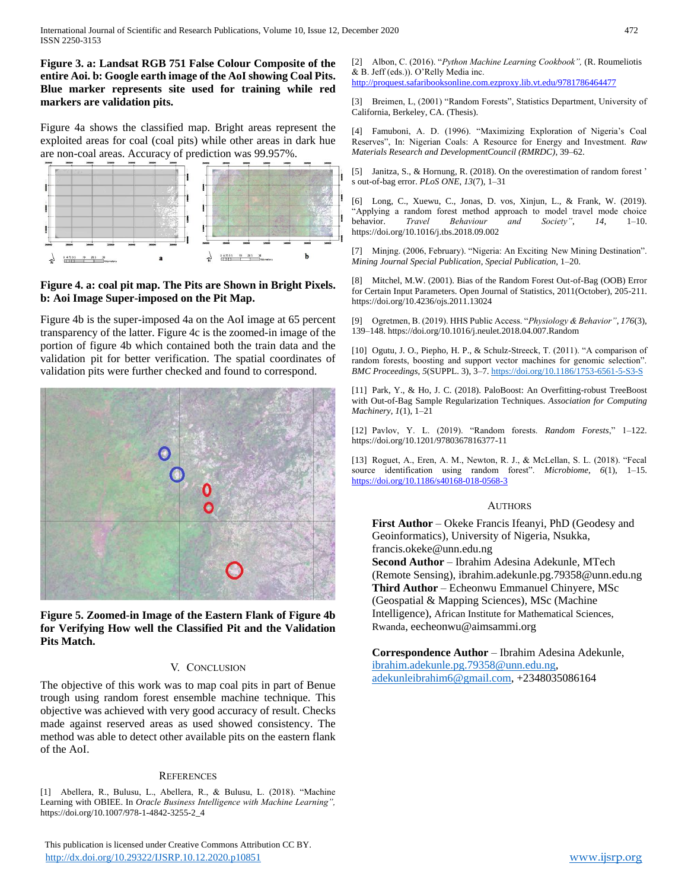**Figure 3. a: Landsat RGB 751 False Colour Composite of the entire Aoi. b: Google earth image of the AoI showing Coal Pits. Blue marker represents site used for training while red markers are validation pits.**

Figure 4a shows the classified map. Bright areas represent the exploited areas for coal (coal pits) while other areas in dark hue are non-coal areas. Accuracy of prediction was 99.957%.



## **Figure 4. a: coal pit map. The Pits are Shown in Bright Pixels. b: Aoi Image Super-imposed on the Pit Map.**

Figure 4b is the super-imposed 4a on the AoI image at 65 percent transparency of the latter. Figure 4c is the zoomed-in image of the portion of figure 4b which contained both the train data and the validation pit for better verification. The spatial coordinates of validation pits were further checked and found to correspond.



**Figure 5. Zoomed-in Image of the Eastern Flank of Figure 4b for Verifying How well the Classified Pit and the Validation Pits Match.**

## V. CONCLUSION

The objective of this work was to map coal pits in part of Benue trough using random forest ensemble machine technique. This objective was achieved with very good accuracy of result. Checks made against reserved areas as used showed consistency. The method was able to detect other available pits on the eastern flank of the AoI.

## **REFERENCES**

[1] Abellera, R., Bulusu, L., Abellera, R., & Bulusu, L. (2018). "Machine Learning with OBIEE. In *Oracle Business Intelligence with Machine Learning",* https://doi.org/10.1007/978-1-4842-3255-2\_4

 This publication is licensed under Creative Commons Attribution CC BY. <http://dx.doi.org/10.29322/IJSRP.10.12.2020.p10851> [www.ijsrp.org](http://ijsrp.org/)

[2] Albon, C. (2016). "*Python Machine Learning Cookbook",* (R. Roumeliotis & B. Jeff (eds.)). O'Relly Media inc.

<http://proquest.safaribooksonline.com.ezproxy.lib.vt.edu/9781786464477>

[3] Breimen, L, (2001) "Random Forests", Statistics Department, University of California, Berkeley, CA. (Thesis).

[4] Famuboni, A. D. (1996). "Maximizing Exploration of Nigeria's Coal Reserves", In: Nigerian Coals: A Resource for Energy and Investment. *Raw Materials Research and DevelopmentCouncil (RMRDC)*, 39–62.

[5] Janitza, S., & Hornung, R. (2018). On the overestimation of random forest ' s out-of-bag error. *PLoS ONE*, *13*(7), 1–31

[6] Long, C., Xuewu, C., Jonas, D. vos, Xinjun, L., & Frank, W. (2019). "Applying a random forest method approach to model travel mode choice behavior. *Travel Behaviour and Society"*, *14*, 1–10. https://doi.org/10.1016/j.tbs.2018.09.002

[7] Minjng. (2006, February). "Nigeria: An Exciting New Mining Destination". *Mining Journal Special Publication*, *Special Publication*, 1–20.

[8] Mitchel, M.W. (2001). Bias of the Random Forest Out-of-Bag (OOB) Error for Certain Input Parameters. Open Journal of Statistics, 2011(October), 205-211. https://doi.org/10.4236/ojs.2011.13024

[9] Ogretmen, B. (2019). HHS Public Access. "*Physiology & Behavior"*, *176*(3), 139–148. https://doi.org/10.1016/j.neulet.2018.04.007.Random

[10] Ogutu, J. O., Piepho, H. P., & Schulz-Streeck, T. (2011). "A comparison of random forests, boosting and support vector machines for genomic selection". *BMC Proceedings*, *5*(SUPPL. 3), 3–7[. https://doi.org/10.1186/1753-6561-5-S3-S](https://doi.org/10.1186/1753-6561-5-S3-S)

[11] Park, Y., & Ho, J. C. (2018). PaloBoost: An Overfitting-robust TreeBoost with Out-of-Bag Sample Regularization Techniques. *Association for Computing Machinery*, *1*(1), 1–21

[12] Pavlov, Y. L. (2019). "Random forests. *Random Forests*," 1–122. https://doi.org/10.1201/9780367816377-11

[13] Roguet, A., Eren, A. M., Newton, R. J., & McLellan, S. L. (2018). "Fecal source identification using random forest". *Microbiome*, *6*(1), 1–15. <https://doi.org/10.1186/s40168-018-0568-3>

#### AUTHORS

**First Author** – Okeke Francis Ifeanyi, PhD (Geodesy and Geoinformatics), University of Nigeria, Nsukka, francis.okeke@unn.edu.ng **Second Author** – Ibrahim Adesina Adekunle, MTech (Remote Sensing), ibrahim.adekunle.pg.79358@unn.edu.ng **Third Author** – Echeonwu Emmanuel Chinyere, MSc (Geospatial & Mapping Sciences), MSc (Machine Intelligence), African Institute for Mathematical Sciences, Rwanda, eecheonwu@aimsammi.org

**Correspondence Author** – Ibrahim Adesina Adekunle, [ibrahim.adekunle.pg.79358@unn.edu.ng,](mailto:ibrahim.adekunle.pg.79358@unn.edu.ng) [adekunleibrahim6@gmail.com,](mailto:adekunleibrahim6@gmail.com) +2348035086164